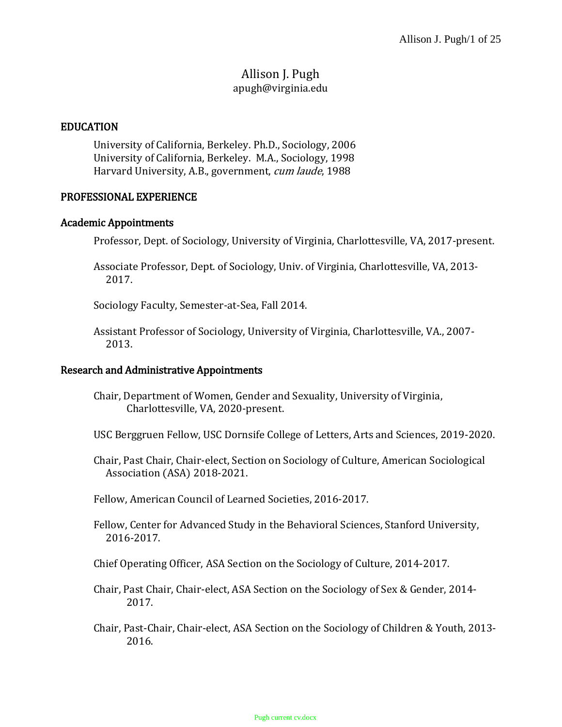## Allison J. Pugh apugh@virginia.edu

### EDUCATION

University of California, Berkeley. Ph.D., Sociology, 2006 University of California, Berkeley. M.A., Sociology, 1998 Harvard University, A.B., government, cum laude, 1988

#### PROFESSIONAL EXPERIENCE

#### Academic Appointments

Professor, Dept. of Sociology, University of Virginia, Charlottesville, VA, 2017-present.

Associate Professor, Dept. of Sociology, Univ. of Virginia, Charlottesville, VA, 2013- 2017.

Sociology Faculty, Semester-at-Sea, Fall 2014.

Assistant Professor of Sociology, University of Virginia, Charlottesville, VA., 2007- 2013.

#### Research and Administrative Appointments

- Chair, Department of Women, Gender and Sexuality, University of Virginia, Charlottesville, VA, 2020-present.
- USC Berggruen Fellow, USC Dornsife College of Letters, Arts and Sciences, 2019-2020.
- Chair, Past Chair, Chair-elect, Section on Sociology of Culture, American Sociological Association (ASA) 2018-2021.
- Fellow, American Council of Learned Societies, 2016-2017.
- Fellow, Center for Advanced Study in the Behavioral Sciences, Stanford University, 2016-2017.

Chief Operating Officer, ASA Section on the Sociology of Culture, 2014-2017.

- Chair, Past Chair, Chair-elect, ASA Section on the Sociology of Sex & Gender, 2014- 2017.
- Chair, Past-Chair, Chair-elect, ASA Section on the Sociology of Children & Youth, 2013- 2016.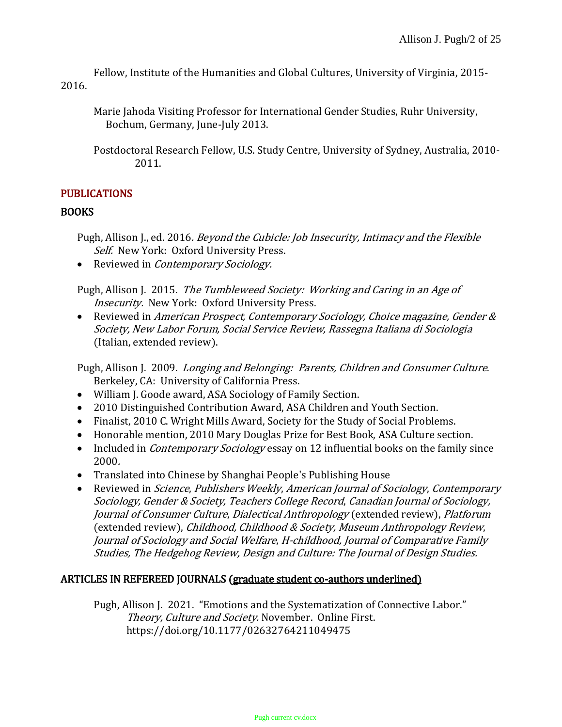Fellow, Institute of the Humanities and Global Cultures, University of Virginia, 2015- 2016.

Marie Jahoda Visiting Professor for International Gender Studies, Ruhr University, Bochum, Germany, June-July 2013.

Postdoctoral Research Fellow, U.S. Study Centre, University of Sydney, Australia, 2010- 2011.

## PUBLICATIONS

### **BOOKS**

Pugh, Allison J., ed. 2016. Beyond the Cubicle: Job Insecurity, Intimacy and the Flexible Self. New York: Oxford University Press.

• Reviewed in *Contemporary Sociology*.

Pugh, Allison J. 2015. The Tumbleweed Society: Working and Caring in an Age of Insecurity. New York: Oxford University Press.

• Reviewed in American Prospect, Contemporary Sociology, Choice magazine, Gender & Society, New Labor Forum, Social Service Review, Rassegna Italiana di Sociologia (Italian, extended review).

Pugh, Allison J. 2009. Longing and Belonging: Parents, Children and Consumer Culture. Berkeley, CA: University of California Press.

- William J. Goode award, ASA Sociology of Family Section.
- 2010 Distinguished Contribution Award, ASA Children and Youth Section.
- Finalist, 2010 C. Wright Mills Award, Society for the Study of Social Problems.
- Honorable mention, 2010 Mary Douglas Prize for Best Book, ASA Culture section.
- Included in *Contemporary Sociology* essay on 12 influential books on the family since 2000.
- Translated into Chinese by Shanghai People's Publishing House
- Reviewed in Science, Publishers Weekly, American Journal of Sociology, Contemporary Sociology, Gender & Society, Teachers College Record, Canadian Journal of Sociology, Journal of Consumer Culture, Dialectical Anthropology (extended review), Platforum (extended review), Childhood, Childhood & Society, Museum Anthropology Review, Journal of Sociology and Social Welfare, H-childhood, Journal of Comparative Family Studies, The Hedgehog Review, Design and Culture: The Journal of Design Studies.

### ARTICLES IN REFEREED JOURNALS (graduate student co-authors underlined)

Pugh, Allison J. 2021. "Emotions and the Systematization of Connective Labor." Theory, Culture and Society. November. Online First. https://doi.org/10.1177/02632764211049475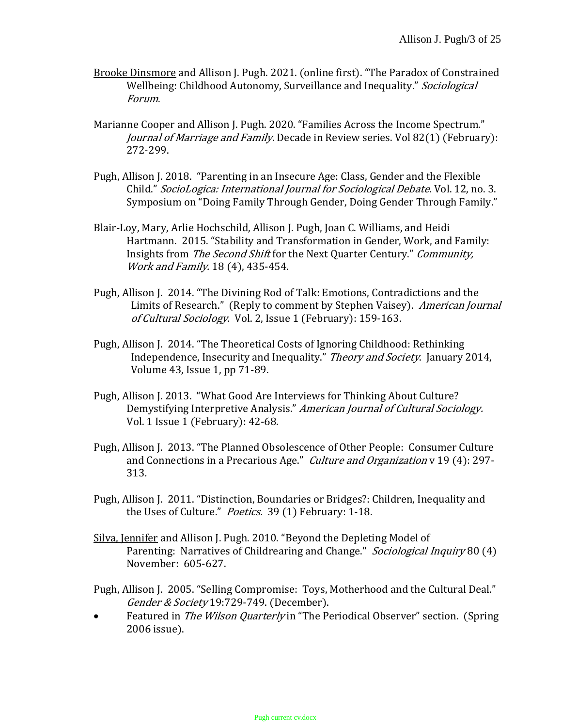- Brooke Dinsmore and Allison J. Pugh. 2021. (online first). "The Paradox of Constrained Wellbeing: Childhood Autonomy, Surveillance and Inequality." Sociological Forum.
- Marianne Cooper and Allison J. Pugh. 2020. "Families Across the Income Spectrum." Journal of Marriage and Family. Decade in Review series. Vol 82(1) (February): 272-299.
- Pugh, Allison J. 2018. "Parenting in an Insecure Age: Class, Gender and the Flexible Child." SocioLogica: International Journal for Sociological Debate. Vol. 12, no. 3. Symposium on "Doing Family Through Gender, Doing Gender Through Family."
- Blair-Loy, Mary, Arlie Hochschild, Allison J. Pugh, Joan C. Williams, and Heidi Hartmann. 2015. "Stability and Transformation in Gender, Work, and Family: Insights from The Second Shift for the Next Quarter Century." Community, Work and Family. 18 (4), 435-454.
- Pugh, Allison J. 2014. "The Divining Rod of Talk: Emotions, Contradictions and the Limits of Research." (Reply to comment by Stephen Vaisey). American Journal of Cultural Sociology. Vol. 2, Issue 1 (February): 159-163.
- Pugh, Allison J. 2014. "The Theoretical Costs of Ignoring Childhood: Rethinking Independence, Insecurity and Inequality." Theory and Society. January 2014, Volume 43, Issue 1, pp 71-89.
- Pugh, Allison J. 2013. "What Good Are Interviews for Thinking About Culture? Demystifying Interpretive Analysis." American Journal of Cultural Sociology. Vol. 1 Issue 1 (February): 42-68.
- Pugh, Allison J. 2013. "The Planned Obsolescence of Other People: Consumer Culture and Connections in a Precarious Age." Culture and Organization v 19 (4): 297- 313.
- Pugh, Allison J. 2011. "Distinction, Boundaries or Bridges?: Children, Inequality and the Uses of Culture." Poetics. 39 (1) February: 1-18.
- Silva, Jennifer and Allison J. Pugh. 2010. "Beyond the Depleting Model of Parenting: Narratives of Childrearing and Change." Sociological Inquiry 80 (4) November: 605-627.
- Pugh, Allison J. 2005. "Selling Compromise: Toys, Motherhood and the Cultural Deal." Gender & Society 19:729-749. (December).
- Featured in *The Wilson Quarterly* in "The Periodical Observer" section. (Spring 2006 issue).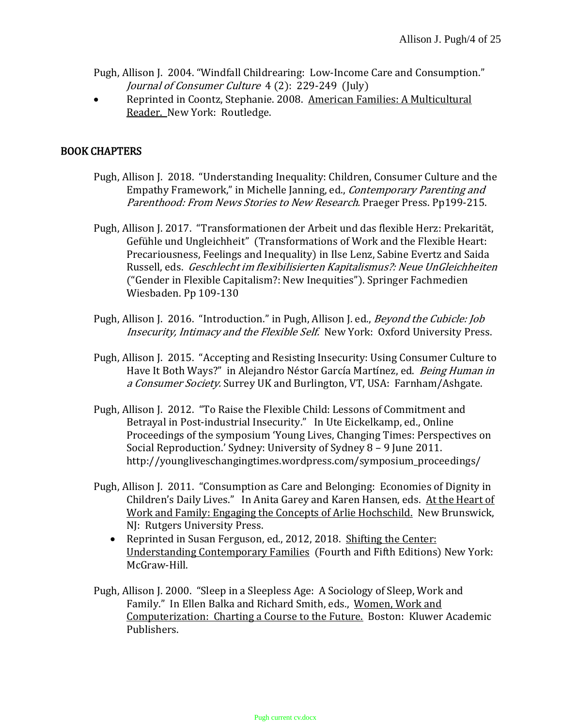Pugh, Allison J. 2004. "Windfall Childrearing: Low-Income Care and Consumption." Journal of Consumer Culture 4 (2): 229-249 (July)

 Reprinted in Coontz, Stephanie. 2008. American Families: A Multicultural Reader. New York: Routledge.

## BOOK CHAPTERS

- Pugh, Allison J. 2018. "Understanding Inequality: Children, Consumer Culture and the Empathy Framework," in Michelle Janning, ed., Contemporary Parenting and Parenthood: From News Stories to New Research. Praeger Press. Pp199-215.
- Pugh, Allison J. 2017. "Transformationen der Arbeit und das flexible Herz: Prekarität, Gefühle und Ungleichheit" (Transformations of Work and the Flexible Heart: Precariousness, Feelings and Inequality) in Ilse Lenz, Sabine Evertz and Saida Russell, eds. Geschlecht im flexibilisierten Kapitalismus?: Neue UnGleichheiten ("Gender in Flexible Capitalism?: New Inequities"). Springer Fachmedien Wiesbaden. Pp 109-130
- Pugh, Allison J. 2016. "Introduction." in Pugh, Allison J. ed., *Beyond the Cubicle: Job* Insecurity, Intimacy and the Flexible Self. New York: Oxford University Press.
- Pugh, Allison J. 2015. "Accepting and Resisting Insecurity: Using Consumer Culture to Have It Both Ways?" in Alejandro Néstor García Martínez, ed. *Being Human in* a Consumer Society. Surrey UK and Burlington, VT, USA: Farnham/Ashgate.
- Pugh, Allison J. 2012. "To Raise the Flexible Child: Lessons of Commitment and Betrayal in Post‐industrial Insecurity." In Ute Eickelkamp, ed., Online Proceedings of the symposium 'Young Lives, Changing Times: Perspectives on Social Reproduction.' Sydney: University of Sydney 8 – 9 June 2011. http://youngliveschangingtimes.wordpress.com/symposium\_proceedings/
- Pugh, Allison J. 2011. "Consumption as Care and Belonging: Economies of Dignity in Children's Daily Lives." In Anita Garey and Karen Hansen, eds. At the Heart of Work and Family: Engaging the Concepts of Arlie Hochschild. New Brunswick, NJ: Rutgers University Press.
	- Reprinted in Susan Ferguson, ed., 2012, 2018. Shifting the Center: Understanding Contemporary Families (Fourth and Fifth Editions) New York: McGraw-Hill.
- Pugh, Allison J. 2000. "Sleep in a Sleepless Age: A Sociology of Sleep, Work and Family." In Ellen Balka and Richard Smith, eds., Women, Work and Computerization: Charting a Course to the Future. Boston: Kluwer Academic Publishers.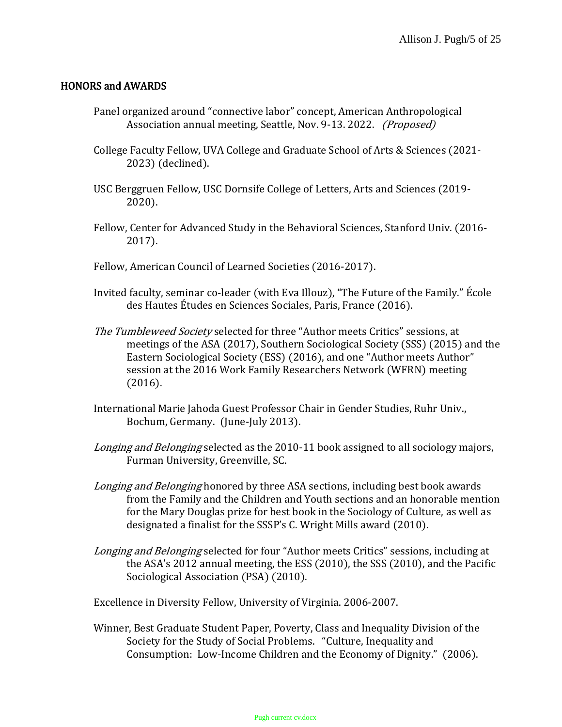### HONORS and AWARDS

- Panel organized around "connective labor" concept, American Anthropological Association annual meeting, Seattle, Nov. 9-13. 2022. (Proposed)
- College Faculty Fellow, UVA College and Graduate School of Arts & Sciences (2021- 2023) (declined).
- USC Berggruen Fellow, USC Dornsife College of Letters, Arts and Sciences (2019- 2020).
- Fellow, Center for Advanced Study in the Behavioral Sciences, Stanford Univ. (2016- 2017).
- Fellow, American Council of Learned Societies (2016-2017).
- Invited faculty, seminar co-leader (with Eva Illouz), "The Future of the Family." École des Hautes Études en Sciences Sociales, Paris, France (2016).
- The Tumbleweed Society selected for three "Author meets Critics" sessions, at meetings of the ASA (2017), Southern Sociological Society (SSS) (2015) and the Eastern Sociological Society (ESS) (2016), and one "Author meets Author" session at the 2016 Work Family Researchers Network (WFRN) meeting (2016).
- International Marie Jahoda Guest Professor Chair in Gender Studies, Ruhr Univ., Bochum, Germany. (June-July 2013).
- Longing and Belonging selected as the 2010-11 book assigned to all sociology majors, Furman University, Greenville, SC.
- Longing and Belonging honored by three ASA sections, including best book awards from the Family and the Children and Youth sections and an honorable mention for the Mary Douglas prize for best book in the Sociology of Culture, as well as designated a finalist for the SSSP's C. Wright Mills award (2010).
- Longing and Belonging selected for four "Author meets Critics" sessions, including at the ASA's 2012 annual meeting, the ESS (2010), the SSS (2010), and the Pacific Sociological Association (PSA) (2010).

Excellence in Diversity Fellow, University of Virginia. 2006-2007.

Winner, Best Graduate Student Paper, Poverty, Class and Inequality Division of the Society for the Study of Social Problems. "Culture, Inequality and Consumption: Low-Income Children and the Economy of Dignity." (2006).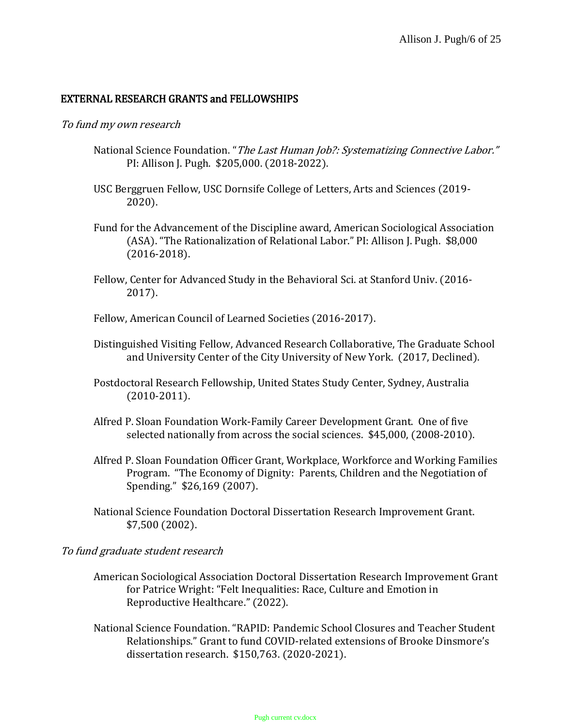### EXTERNAL RESEARCH GRANTS and FELLOWSHIPS

#### To fund my own research

- National Science Foundation. "The Last Human Job?: Systematizing Connective Labor." PI: Allison J. Pugh. \$205,000. (2018-2022).
- USC Berggruen Fellow, USC Dornsife College of Letters, Arts and Sciences (2019- 2020).
- Fund for the Advancement of the Discipline award, American Sociological Association (ASA). "The Rationalization of Relational Labor." PI: Allison J. Pugh. \$8,000 (2016-2018).
- Fellow, Center for Advanced Study in the Behavioral Sci. at Stanford Univ. (2016- 2017).

Fellow, American Council of Learned Societies (2016-2017).

- Distinguished Visiting Fellow, Advanced Research Collaborative, The Graduate School and University Center of the City University of New York. (2017, Declined).
- Postdoctoral Research Fellowship, United States Study Center, Sydney, Australia (2010-2011).
- Alfred P. Sloan Foundation Work-Family Career Development Grant. One of five selected nationally from across the social sciences. \$45,000, (2008-2010).
- Alfred P. Sloan Foundation Officer Grant, Workplace, Workforce and Working Families Program. "The Economy of Dignity: Parents, Children and the Negotiation of Spending." \$26,169 (2007).
- National Science Foundation Doctoral Dissertation Research Improvement Grant. \$7,500 (2002).

### To fund graduate student research

- American Sociological Association Doctoral Dissertation Research Improvement Grant for Patrice Wright: "Felt Inequalities: Race, Culture and Emotion in Reproductive Healthcare." (2022).
- National Science Foundation. "RAPID: Pandemic School Closures and Teacher Student Relationships." Grant to fund COVID-related extensions of Brooke Dinsmore's dissertation research. \$150,763. (2020-2021).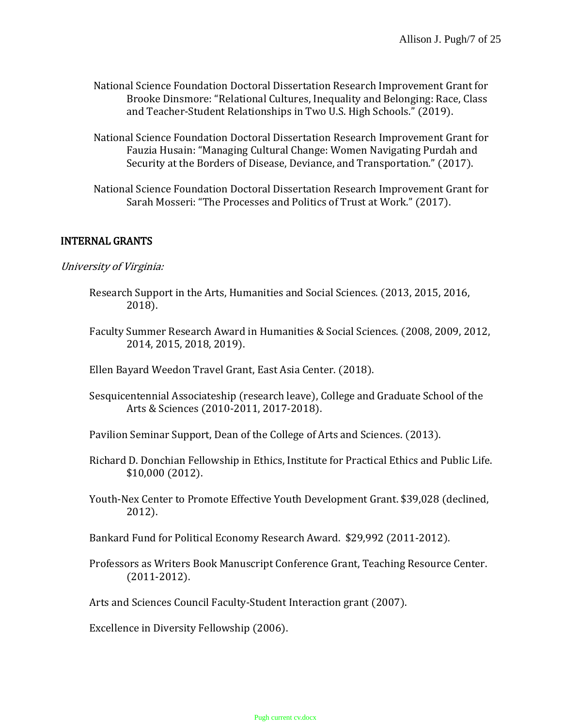- National Science Foundation Doctoral Dissertation Research Improvement Grant for Brooke Dinsmore: "Relational Cultures, Inequality and Belonging: Race, Class and Teacher-Student Relationships in Two U.S. High Schools." (2019).
- National Science Foundation Doctoral Dissertation Research Improvement Grant for Fauzia Husain: "Managing Cultural Change: Women Navigating Purdah and Security at the Borders of Disease, Deviance, and Transportation." (2017).
- National Science Foundation Doctoral Dissertation Research Improvement Grant for Sarah Mosseri: "The Processes and Politics of Trust at Work." (2017).

### INTERNAL GRANTS

### University of Virginia:

- Research Support in the Arts, Humanities and Social Sciences. (2013, 2015, 2016, 2018).
- Faculty Summer Research Award in Humanities & Social Sciences. (2008, 2009, 2012, 2014, 2015, 2018, 2019).
- Ellen Bayard Weedon Travel Grant, East Asia Center. (2018).
- Sesquicentennial Associateship (research leave), College and Graduate School of the Arts & Sciences (2010-2011, 2017-2018).
- Pavilion Seminar Support, Dean of the College of Arts and Sciences. (2013).
- Richard D. Donchian Fellowship in Ethics, Institute for Practical Ethics and Public Life. \$10,000 (2012).
- Youth-Nex Center to Promote Effective Youth Development Grant. \$39,028 (declined, 2012).
- Bankard Fund for Political Economy Research Award. \$29,992 (2011-2012).
- Professors as Writers Book Manuscript Conference Grant, Teaching Resource Center. (2011-2012).
- Arts and Sciences Council Faculty-Student Interaction grant (2007).

Excellence in Diversity Fellowship (2006).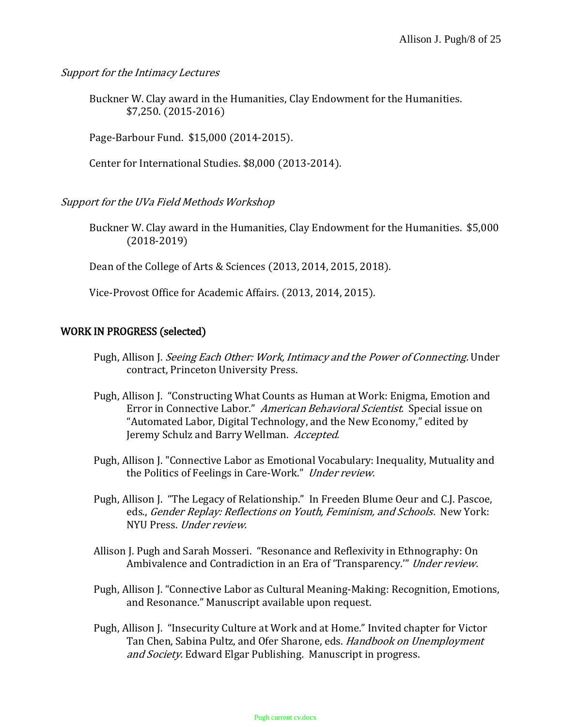Support for the Intimacy Lectures

Buckner W. Clay award in the Humanities, Clay Endowment for the Humanities. \$7,250. (2015-2016)

Page-Barbour Fund. \$15,000 (2014-2015).

Center for International Studies. \$8,000 (2013-2014).

Support for the UVa Field Methods Workshop

Buckner W. Clay award in the Humanities, Clay Endowment for the Humanities. \$5,000 (2018-2019)

Dean of the College of Arts & Sciences (2013, 2014, 2015, 2018).

Vice-Provost Office for Academic Affairs. (2013, 2014, 2015).

### WORK IN PROGRESS (selected)

- Pugh, Allison J. Seeing Each Other: Work, Intimacy and the Power of Connecting. Under contract, Princeton University Press.
- Pugh, Allison J. "Constructing What Counts as Human at Work: Enigma, Emotion and Error in Connective Labor." American Behavioral Scientist. Special issue on "Automated Labor, Digital Technology, and the New Economy," edited by Jeremy Schulz and Barry Wellman. Accepted.
- Pugh, Allison J. "Connective Labor as Emotional Vocabulary: Inequality, Mutuality and the Politics of Feelings in Care-Work." Under review.
- Pugh, Allison J. "The Legacy of Relationship." In Freeden Blume Oeur and C.J. Pascoe, eds., Gender Replay: Reflections on Youth, Feminism, and Schools. New York: NYU Press. Under review.
- Allison J. Pugh and Sarah Mosseri. "Resonance and Reflexivity in Ethnography: On Ambivalence and Contradiction in an Era of 'Transparency.'" Under review.
- Pugh, Allison J. "Connective Labor as Cultural Meaning-Making: Recognition, Emotions, and Resonance." Manuscript available upon request.
- Pugh, Allison J. "Insecurity Culture at Work and at Home." Invited chapter for Victor Tan Chen, Sabina Pultz, and Ofer Sharone, eds. Handbook on Unemployment and Society. Edward Elgar Publishing. Manuscript in progress.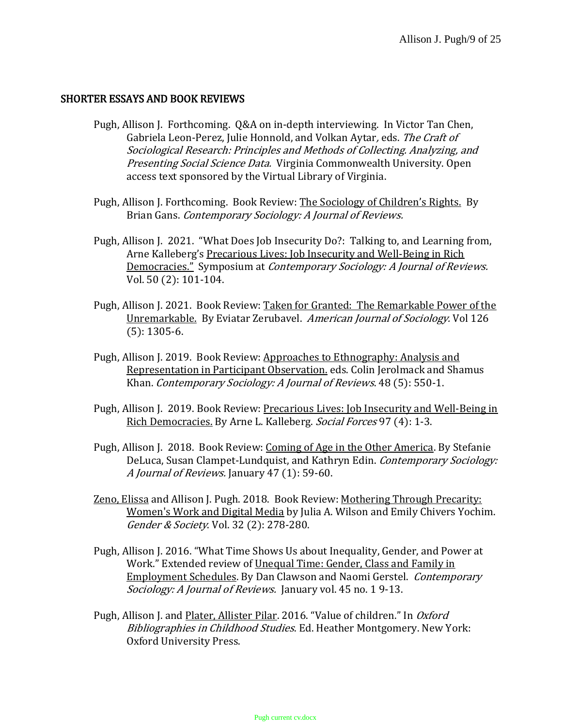### SHORTER ESSAYS AND BOOK REVIEWS

- Pugh, Allison J. Forthcoming. Q&A on in-depth interviewing. In Victor Tan Chen, Gabriela Leon-Perez, Julie Honnold, and Volkan Aytar, eds. The Craft of Sociological Research: Principles and Methods of Collecting. Analyzing, and Presenting Social Science Data. Virginia Commonwealth University. Open access text sponsored by the Virtual Library of Virginia.
- Pugh, Allison J. Forthcoming. Book Review: The Sociology of Children's Rights. By Brian Gans. Contemporary Sociology: A Journal of Reviews.
- Pugh, Allison J. 2021. "What Does Job Insecurity Do?: Talking to, and Learning from, Arne Kalleberg's Precarious Lives: Job Insecurity and Well-Being in Rich Democracies." Symposium at Contemporary Sociology: A Journal of Reviews. Vol. 50 (2): 101-104.
- Pugh, Allison J. 2021. Book Review: Taken for Granted: The Remarkable Power of the Unremarkable. By Eviatar Zerubavel. American Journal of Sociology. Vol 126 (5): 1305-6.
- Pugh, Allison J. 2019. Book Review: Approaches to Ethnography: Analysis and Representation in Participant Observation. eds. Colin Jerolmack and Shamus Khan. Contemporary Sociology: A Journal of Reviews. 48 (5): 550-1.
- Pugh, Allison J. 2019. Book Review: Precarious Lives: Job Insecurity and Well-Being in Rich Democracies. By Arne L. Kalleberg. Social Forces 97 (4): 1-3.
- Pugh, Allison J. 2018. Book Review: Coming of Age in the Other America. By Stefanie DeLuca, Susan Clampet-Lundquist, and Kathryn Edin. Contemporary Sociology: A Journal of Reviews. January 47 (1): 59-60.
- Zeno, Elissa and Allison J. Pugh. 2018. Book Review: Mothering Through Precarity: Women's Work and Digital Media by Julia A. Wilson and Emily Chivers Yochim. Gender & Society. Vol. 32 (2): 278-280.
- Pugh, Allison J. 2016. "What Time Shows Us about Inequality, Gender, and Power at Work." Extended review of Unequal Time: Gender, Class and Family in Employment Schedules. By Dan Clawson and Naomi Gerstel. Contemporary Sociology: A Journal of Reviews. January vol. 45 no. 19-13.
- Pugh, Allison J. and Plater, Allister Pilar. 2016. "Value of children." In Oxford Bibliographies in Childhood Studies. Ed. Heather Montgomery. New York: Oxford University Press.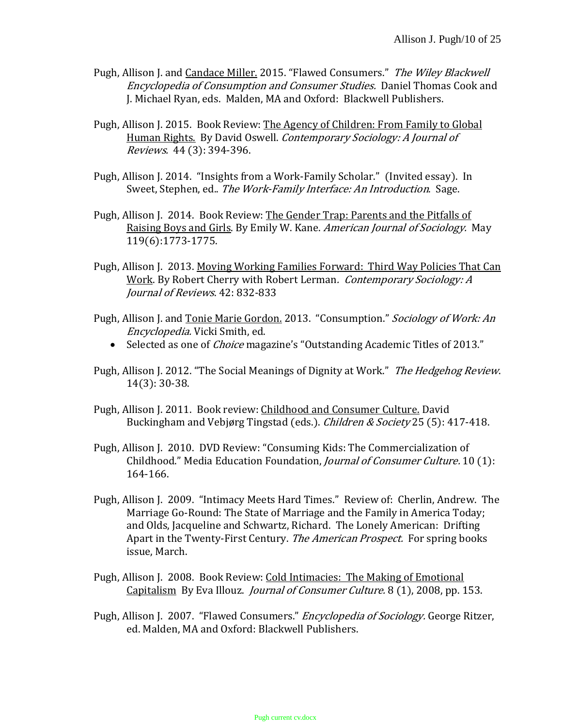- Pugh, Allison J. and Candace Miller. 2015. "Flawed Consumers." The Wiley Blackwell Encyclopedia of Consumption and Consumer Studies. Daniel Thomas Cook and J. Michael Ryan, eds. Malden, MA and Oxford: Blackwell Publishers.
- Pugh, Allison J. 2015. Book Review: The Agency of Children: From Family to Global Human Rights. By David Oswell. Contemporary Sociology: A Journal of Reviews. 44 (3): 394-396.
- Pugh, Allison J. 2014. "Insights from a Work-Family Scholar." (Invited essay). In Sweet, Stephen, ed.. The Work-Family Interface: An Introduction. Sage.
- Pugh, Allison J. 2014. Book Review: The Gender Trap: Parents and the Pitfalls of Raising Boys and Girls. By Emily W. Kane. American Journal of Sociology. May 119(6):1773-1775.
- Pugh, Allison J. 2013. Moving Working Families Forward: Third Way Policies That Can Work. By Robert Cherry with Robert Lerman. Contemporary Sociology: A Journal of Reviews. 42: 832-833
- Pugh, Allison J. and Tonie Marie Gordon. 2013. "Consumption." Sociology of Work: An Encyclopedia. Vicki Smith, ed.
	- Selected as one of *Choice* magazine's "Outstanding Academic Titles of 2013."
- Pugh, Allison J. 2012. "The Social Meanings of Dignity at Work." The Hedgehog Review. 14(3): 30-38.
- Pugh, Allison J. 2011. Book review: Childhood and Consumer Culture. David Buckingham and Vebjørg Tingstad (eds.). Children & Society 25 (5): 417-418.
- Pugh, Allison J. 2010. DVD Review: "Consuming Kids: The Commercialization of Childhood." Media Education Foundation, Journal of Consumer Culture. 10 (1): 164-166.
- Pugh, Allison J. 2009. "Intimacy Meets Hard Times." Review of: Cherlin, Andrew. The Marriage Go-Round: The State of Marriage and the Family in America Today; and Olds, Jacqueline and Schwartz, Richard. The Lonely American: Drifting Apart in the Twenty-First Century. The American Prospect. For spring books issue, March.
- Pugh, Allison J. 2008. Book Review: Cold Intimacies: The Making of Emotional Capitalism By Eva Illouz. *Journal of Consumer Culture.* 8 (1), 2008, pp. 153.
- Pugh, Allison J. 2007. "Flawed Consumers." Encyclopedia of Sociology. George Ritzer, ed. Malden, MA and Oxford: Blackwell Publishers.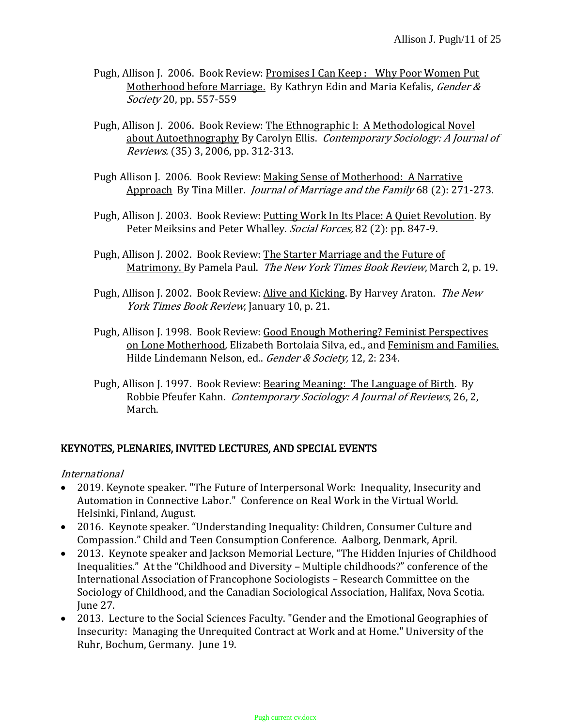- Pugh, Allison J. 2006. Book Review: Promises I Can Keep: Why Poor Women Put Motherhood before Marriage. By Kathryn Edin and Maria Kefalis, Gender & Society 20, pp. 557-559
- Pugh, Allison J. 2006. Book Review: The Ethnographic I: A Methodological Novel about Autoethnography By Carolyn Ellis. Contemporary Sociology: A Journal of Reviews. (35) 3, 2006, pp. 312-313.
- Pugh Allison J. 2006. Book Review: Making Sense of Motherhood: A Narrative Approach By Tina Miller. Journal of Marriage and the Family 68 (2): 271-273.
- Pugh, Allison J. 2003. Book Review: <u>Putting Work In Its Place: A Quiet Revolution</u>. By Peter Meiksins and Peter Whalley. Social Forces, 82 (2): pp. 847-9.
- Pugh, Allison J. 2002. Book Review: The Starter Marriage and the Future of Matrimony. By Pamela Paul. The New York Times Book Review, March 2, p. 19.
- Pugh, Allison J. 2002. Book Review: Alive and Kicking. By Harvey Araton. The New York Times Book Review, January 10, p. 21.
- Pugh, Allison J. 1998. Book Review: Good Enough Mothering? Feminist Perspectives on Lone Motherhood, Elizabeth Bortolaia Silva, ed., and Feminism and Families. Hilde Lindemann Nelson, ed.. Gender & Society, 12, 2: 234.
- Pugh, Allison J. 1997. Book Review: Bearing Meaning: The Language of Birth. By Robbie Pfeufer Kahn. Contemporary Sociology: A Journal of Reviews, 26, 2, March.

### KEYNOTES, PLENARIES, INVITED LECTURES, AND SPECIAL EVENTS

### International

- 2019. Keynote speaker. "The Future of Interpersonal Work: Inequality, Insecurity and Automation in Connective Labor." Conference on Real Work in the Virtual World. Helsinki, Finland, August.
- 2016. Keynote speaker. "Understanding Inequality: Children, Consumer Culture and Compassion." Child and Teen Consumption Conference. Aalborg, Denmark, April.
- 2013. Keynote speaker and Jackson Memorial Lecture, "The Hidden Injuries of Childhood Inequalities." At the "Childhood and Diversity – Multiple childhoods?" conference of the International Association of Francophone Sociologists – Research Committee on the Sociology of Childhood, and the Canadian Sociological Association, Halifax, Nova Scotia. June 27.
- 2013. Lecture to the Social Sciences Faculty. "Gender and the Emotional Geographies of Insecurity: Managing the Unrequited Contract at Work and at Home." University of the Ruhr, Bochum, Germany. June 19.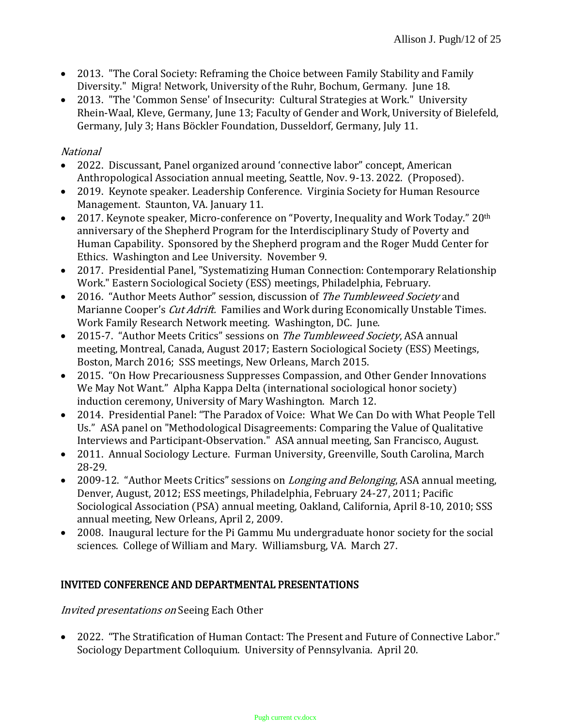- 2013. "The Coral Society: Reframing the Choice between Family Stability and Family Diversity." Migra! Network, University of the Ruhr, Bochum, Germany. June 18.
- 2013. "The 'Common Sense' of Insecurity: Cultural Strategies at Work." University Rhein-Waal, Kleve, Germany, June 13; Faculty of Gender and Work, University of Bielefeld, Germany, July 3; Hans Böckler Foundation, Dusseldorf, Germany, July 11.

## National

- 2022. Discussant, Panel organized around 'connective labor" concept, American Anthropological Association annual meeting, Seattle, Nov. 9-13. 2022. (Proposed).
- 2019. Keynote speaker. Leadership Conference. Virginia Society for Human Resource Management. Staunton, VA. January 11.
- 2017. Keynote speaker, Micro-conference on "Poverty, Inequality and Work Today," 20<sup>th</sup> anniversary of the Shepherd Program for the Interdisciplinary Study of Poverty and Human Capability. Sponsored by the Shepherd program and the Roger Mudd Center for Ethics. Washington and Lee University. November 9.
- 2017. Presidential Panel, "Systematizing Human Connection: Contemporary Relationship Work." Eastern Sociological Society (ESS) meetings, Philadelphia, February.
- 2016. "Author Meets Author" session, discussion of The Tumbleweed Society and Marianne Cooper's *Cut Adrift*. Families and Work during Economically Unstable Times. Work Family Research Network meeting. Washington, DC. June.
- 2015-7. "Author Meets Critics" sessions on The Tumbleweed Society, ASA annual meeting, Montreal, Canada, August 2017; Eastern Sociological Society (ESS) Meetings, Boston, March 2016; SSS meetings, New Orleans, March 2015.
- 2015. "On How Precariousness Suppresses Compassion, and Other Gender Innovations We May Not Want." Alpha Kappa Delta (international sociological honor society) induction ceremony, University of Mary Washington. March 12.
- 2014. Presidential Panel: "The Paradox of Voice: What We Can Do with What People Tell Us." ASA panel on "Methodological Disagreements: Comparing the Value of Qualitative Interviews and Participant-Observation." ASA annual meeting, San Francisco, August.
- 2011. Annual Sociology Lecture. Furman University, Greenville, South Carolina, March 28-29.
- 2009-12. "Author Meets Critics" sessions on *Longing and Belonging*, ASA annual meeting, Denver, August, 2012; ESS meetings, Philadelphia, February 24-27, 2011; Pacific Sociological Association (PSA) annual meeting, Oakland, California, April 8-10, 2010; SSS annual meeting, New Orleans, April 2, 2009.
- 2008. Inaugural lecture for the Pi Gammu Mu undergraduate honor society for the social sciences. College of William and Mary. Williamsburg, VA. March 27.

## INVITED CONFERENCE AND DEPARTMENTAL PRESENTATIONS

Invited presentations on Seeing Each Other

 2022. "The Stratification of Human Contact: The Present and Future of Connective Labor." Sociology Department Colloquium. University of Pennsylvania. April 20.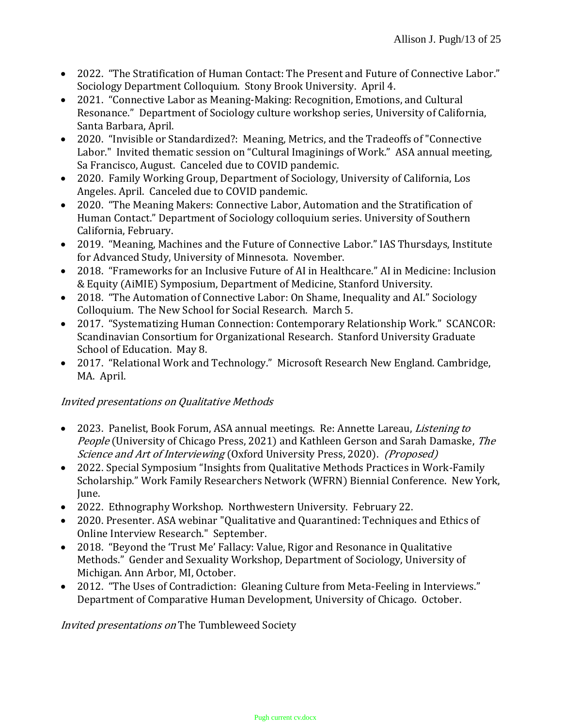- 2022. "The Stratification of Human Contact: The Present and Future of Connective Labor." Sociology Department Colloquium. Stony Brook University. April 4.
- 2021. "Connective Labor as Meaning-Making: Recognition, Emotions, and Cultural Resonance." Department of Sociology culture workshop series, University of California, Santa Barbara, April.
- 2020. "Invisible or Standardized?: Meaning, Metrics, and the Tradeoffs of "Connective Labor." Invited thematic session on "Cultural Imaginings of Work." ASA annual meeting, Sa Francisco, August. Canceled due to COVID pandemic.
- 2020. Family Working Group, Department of Sociology, University of California, Los Angeles. April. Canceled due to COVID pandemic.
- 2020. "The Meaning Makers: Connective Labor, Automation and the Stratification of Human Contact." Department of Sociology colloquium series. University of Southern California, February.
- 2019. "Meaning, Machines and the Future of Connective Labor." IAS Thursdays, Institute for Advanced Study, University of Minnesota. November.
- 2018. "Frameworks for an Inclusive Future of AI in Healthcare." AI in Medicine: Inclusion & Equity (AiMIE) Symposium, Department of Medicine, Stanford University.
- 2018. "The Automation of Connective Labor: On Shame, Inequality and AI." Sociology Colloquium. The New School for Social Research. March 5.
- 2017. "Systematizing Human Connection: Contemporary Relationship Work." SCANCOR: Scandinavian Consortium for Organizational Research. Stanford University Graduate School of Education. May 8.
- 2017. "Relational Work and Technology." Microsoft Research New England. Cambridge, MA. April.

# Invited presentations on Qualitative Methods

- 2023. Panelist, Book Forum, ASA annual meetings. Re: Annette Lareau, *Listening to* People (University of Chicago Press, 2021) and Kathleen Gerson and Sarah Damaske, The Science and Art of Interviewing (Oxford University Press, 2020). (Proposed)
- 2022. Special Symposium "Insights from Qualitative Methods Practices in Work-Family Scholarship." Work Family Researchers Network (WFRN) Biennial Conference. New York, June.
- 2022. Ethnography Workshop. Northwestern University. February 22.
- 2020. Presenter. ASA webinar "Qualitative and Quarantined: Techniques and Ethics of Online Interview Research." September.
- 2018. "Beyond the 'Trust Me' Fallacy: Value, Rigor and Resonance in Qualitative Methods." Gender and Sexuality Workshop, Department of Sociology, University of Michigan. Ann Arbor, MI, October.
- 2012. "The Uses of Contradiction: Gleaning Culture from Meta-Feeling in Interviews." Department of Comparative Human Development, University of Chicago. October.

Invited presentations on The Tumbleweed Society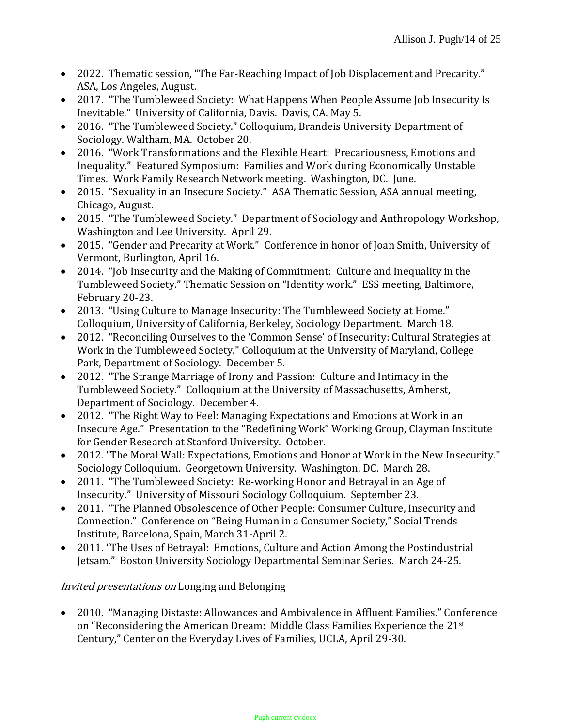- 2022. Thematic session, "The Far-Reaching Impact of Job Displacement and Precarity." ASA, Los Angeles, August.
- 2017. "The Tumbleweed Society: What Happens When People Assume Job Insecurity Is Inevitable." University of California, Davis. Davis, CA. May 5.
- 2016. "The Tumbleweed Society." Colloquium, Brandeis University Department of Sociology. Waltham, MA. October 20.
- 2016. "Work Transformations and the Flexible Heart: Precariousness, Emotions and Inequality." Featured Symposium: Families and Work during Economically Unstable Times. Work Family Research Network meeting. Washington, DC. June.
- 2015. "Sexuality in an Insecure Society." ASA Thematic Session, ASA annual meeting, Chicago, August.
- 2015. "The Tumbleweed Society." Department of Sociology and Anthropology Workshop, Washington and Lee University. April 29.
- 2015. "Gender and Precarity at Work." Conference in honor of Joan Smith, University of Vermont, Burlington, April 16.
- 2014. "Job Insecurity and the Making of Commitment: Culture and Inequality in the Tumbleweed Society." Thematic Session on "Identity work." ESS meeting, Baltimore, February 20-23.
- 2013. "Using Culture to Manage Insecurity: The Tumbleweed Society at Home." Colloquium, University of California, Berkeley, Sociology Department. March 18.
- 2012. "Reconciling Ourselves to the 'Common Sense' of Insecurity: Cultural Strategies at Work in the Tumbleweed Society." Colloquium at the University of Maryland, College Park, Department of Sociology. December 5.
- 2012. "The Strange Marriage of Irony and Passion: Culture and Intimacy in the Tumbleweed Society." Colloquium at the University of Massachusetts, Amherst, Department of Sociology. December 4.
- 2012. "The Right Way to Feel: Managing Expectations and Emotions at Work in an Insecure Age." Presentation to the "Redefining Work" Working Group, Clayman Institute for Gender Research at Stanford University. October.
- 2012. "The Moral Wall: Expectations, Emotions and Honor at Work in the New Insecurity." Sociology Colloquium. Georgetown University. Washington, DC. March 28.
- 2011. "The Tumbleweed Society: Re-working Honor and Betrayal in an Age of Insecurity." University of Missouri Sociology Colloquium. September 23.
- 2011. "The Planned Obsolescence of Other People: Consumer Culture, Insecurity and Connection." Conference on "Being Human in a Consumer Society," Social Trends Institute, Barcelona, Spain, March 31-April 2.
- 2011. "The Uses of Betrayal: Emotions, Culture and Action Among the Postindustrial Jetsam." Boston University Sociology Departmental Seminar Series. March 24-25.

## Invited presentations on Longing and Belonging

 2010. "Managing Distaste: Allowances and Ambivalence in Affluent Families." Conference on "Reconsidering the American Dream: Middle Class Families Experience the 21st Century," Center on the Everyday Lives of Families, UCLA, April 29-30.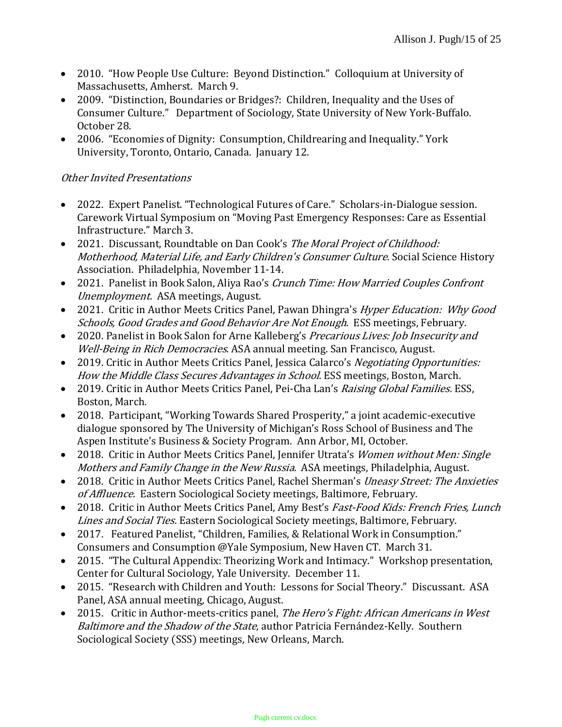- 2010. "How People Use Culture: Beyond Distinction." Colloquium at University of Massachusetts, Amherst. March 9.
- 2009. "Distinction, Boundaries or Bridges?: Children, Inequality and the Uses of Consumer Culture." Department of Sociology, State University of New York-Buffalo. October 28.
- 2006. "Economies of Dignity: Consumption, Childrearing and Inequality." York University, Toronto, Ontario, Canada. January 12.

## Other Invited Presentations

- 2022. Expert Panelist. "Technological Futures of Care." Scholars-in-Dialogue session. Carework Virtual Symposium on "Moving Past Emergency Responses: Care as Essential Infrastructure." March 3.
- 2021. Discussant, Roundtable on Dan Cook's The Moral Project of Childhood: Motherhood, Material Life, and Early Children's Consumer Culture. Social Science History Association. Philadelphia, November 11-14.
- 2021. Panelist in Book Salon, Aliya Rao's Crunch Time: How Married Couples Confront Unemployment. ASA meetings, August.
- 2021. Critic in Author Meets Critics Panel, Pawan Dhingra's Hyper Education: Why Good Schools, Good Grades and Good Behavior Are Not Enough. ESS meetings, February.
- 2020. Panelist in Book Salon for Arne Kalleberg's *Precarious Lives: Job Insecurity and* Well-Being in Rich Democracies. ASA annual meeting. San Francisco, August.
- 2019. Critic in Author Meets Critics Panel, Jessica Calarco's Negotiating Opportunities: How the Middle Class Secures Advantages in School. ESS meetings, Boston, March.
- 2019. Critic in Author Meets Critics Panel, Pei-Cha Lan's Raising Global Families. ESS, Boston, March.
- 2018. Participant, "Working Towards Shared Prosperity," a joint academic-executive dialogue sponsored by The University of Michigan's Ross School of Business and The Aspen Institute's Business & Society Program. Ann Arbor, MI, October.
- 2018. Critic in Author Meets Critics Panel, Jennifer Utrata's Women without Men: Single Mothers and Family Change in the New Russia. ASA meetings, Philadelphia, August.
- 2018. Critic in Author Meets Critics Panel, Rachel Sherman's Uneasy Street: The Anxieties of Affluence. Eastern Sociological Society meetings, Baltimore, February.
- 2018. Critic in Author Meets Critics Panel, Amy Best's Fast-Food Kids: French Fries, Lunch Lines and Social Ties. Eastern Sociological Society meetings, Baltimore, February.
- 2017. Featured Panelist, "Children, Families, & Relational Work in Consumption." Consumers and Consumption @Yale Symposium, New Haven CT. March 31.
- 2015. "The Cultural Appendix: Theorizing Work and Intimacy." Workshop presentation, Center for Cultural Sociology, Yale University. December 11.
- 2015. "Research with Children and Youth: Lessons for Social Theory." Discussant. ASA Panel, ASA annual meeting, Chicago, August.
- 2015. Critic in Author-meets-critics panel, The Hero's Fight: African Americans in West Baltimore and the Shadow of the State, author Patricia Fernández-Kelly. Southern Sociological Society (SSS) meetings, New Orleans, March.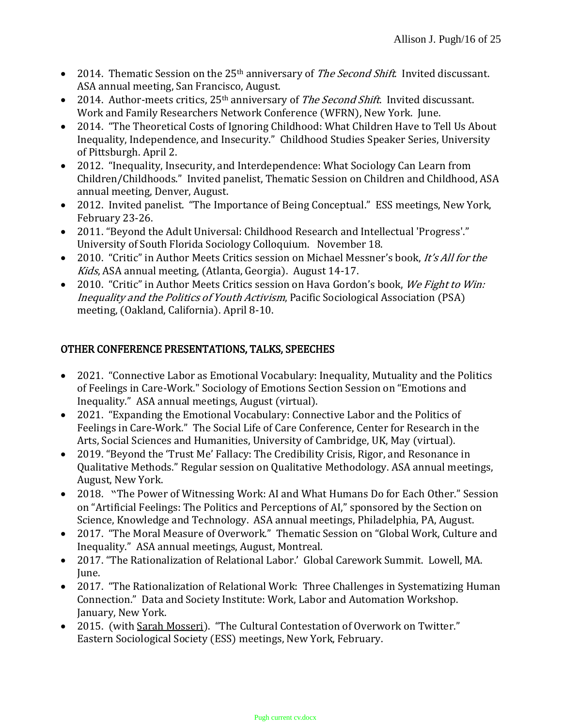- 2014. Thematic Session on the 25<sup>th</sup> anniversary of *The Second Shift*. Invited discussant. ASA annual meeting, San Francisco, August.
- 2014. Author-meets critics,  $25<sup>th</sup>$  anniversary of *The Second Shift*. Invited discussant. Work and Family Researchers Network Conference (WFRN), New York. June.
- 2014. "The Theoretical Costs of Ignoring Childhood: What Children Have to Tell Us About Inequality, Independence, and Insecurity." Childhood Studies Speaker Series, University of Pittsburgh. April 2.
- 2012. "Inequality, Insecurity, and Interdependence: What Sociology Can Learn from Children/Childhoods." Invited panelist, Thematic Session on Children and Childhood, ASA annual meeting, Denver, August.
- 2012. Invited panelist. "The Importance of Being Conceptual." ESS meetings, New York, February 23-26.
- 2011. "Beyond the Adult Universal: Childhood Research and Intellectual 'Progress'." University of South Florida Sociology Colloquium. November 18.
- 2010. "Critic" in Author Meets Critics session on Michael Messner's book, It's All for the Kids, ASA annual meeting, (Atlanta, Georgia). August 14-17.
- 2010. "Critic" in Author Meets Critics session on Hava Gordon's book, We Fight to Win: Inequality and the Politics of Youth Activism, Pacific Sociological Association (PSA) meeting, (Oakland, California). April 8-10.

# OTHER CONFERENCE PRESENTATIONS, TALKS, SPEECHES

- 2021. "Connective Labor as Emotional Vocabulary: Inequality, Mutuality and the Politics of Feelings in Care-Work." Sociology of Emotions Section Session on "Emotions and Inequality." ASA annual meetings, August (virtual).
- 2021. "Expanding the Emotional Vocabulary: Connective Labor and the Politics of Feelings in Care-Work." The Social Life of Care Conference, Center for Research in the Arts, Social Sciences and Humanities, University of Cambridge, UK, May (virtual).
- 2019. "Beyond the 'Trust Me' Fallacy: The Credibility Crisis, Rigor, and Resonance in Qualitative Methods." Regular session on Qualitative Methodology. ASA annual meetings, August, New York.
- 2018. "The Power of Witnessing Work: AI and What Humans Do for Each Other." Session on "Artificial Feelings: The Politics and Perceptions of AI," sponsored by the Section on Science, Knowledge and Technology. ASA annual meetings, Philadelphia, PA, August.
- 2017. "The Moral Measure of Overwork." Thematic Session on "Global Work, Culture and Inequality." ASA annual meetings, August, Montreal.
- 2017. "The Rationalization of Relational Labor.' Global Carework Summit. Lowell, MA. June.
- 2017. "The Rationalization of Relational Work: Three Challenges in Systematizing Human Connection." Data and Society Institute: Work, Labor and Automation Workshop. January, New York.
- 2015. (with Sarah Mosseri). "The Cultural Contestation of Overwork on Twitter." Eastern Sociological Society (ESS) meetings, New York, February.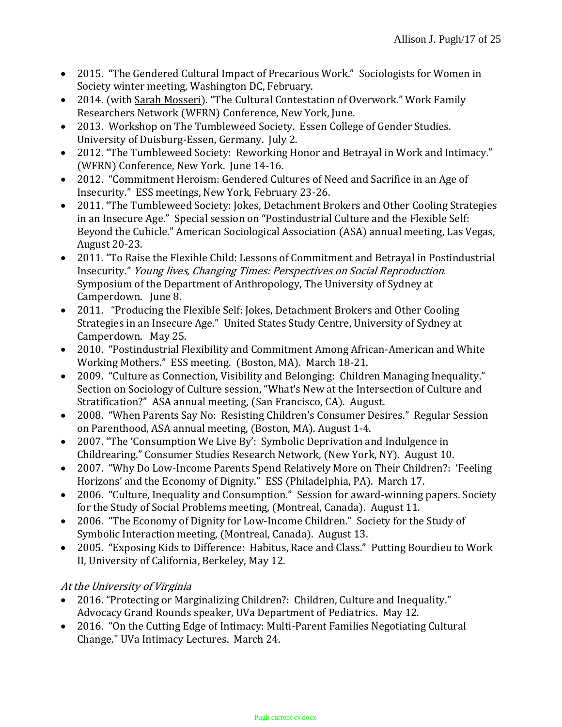- 2015. "The Gendered Cultural Impact of Precarious Work." Sociologists for Women in Society winter meeting, Washington DC, February.
- 2014. (with Sarah Mosseri). "The Cultural Contestation of Overwork." Work Family Researchers Network (WFRN) Conference, New York, June.
- 2013. Workshop on The Tumbleweed Society. Essen College of Gender Studies. University of Duisburg-Essen, Germany. July 2.
- 2012. "The Tumbleweed Society: Reworking Honor and Betrayal in Work and Intimacy." (WFRN) Conference, New York. June 14-16.
- 2012. "Commitment Heroism: Gendered Cultures of Need and Sacrifice in an Age of Insecurity." ESS meetings, New York, February 23-26.
- 2011. "The Tumbleweed Society: Jokes, Detachment Brokers and Other Cooling Strategies in an Insecure Age." Special session on "Postindustrial Culture and the Flexible Self: Beyond the Cubicle." American Sociological Association (ASA) annual meeting, Las Vegas, August 20-23.
- 2011. "To Raise the Flexible Child: Lessons of Commitment and Betrayal in Postindustrial Insecurity." Young lives, Changing Times: Perspectives on Social Reproduction. Symposium of the Department of Anthropology, The University of Sydney at Camperdown. June 8.
- 2011. "Producing the Flexible Self: Jokes, Detachment Brokers and Other Cooling Strategies in an Insecure Age." United States Study Centre, University of Sydney at Camperdown. May 25.
- 2010. "Postindustrial Flexibility and Commitment Among African-American and White Working Mothers." ESS meeting. (Boston, MA). March 18-21.
- 2009. "Culture as Connection, Visibility and Belonging: Children Managing Inequality." Section on Sociology of Culture session, "What's New at the Intersection of Culture and Stratification?" ASA annual meeting, (San Francisco, CA). August.
- 2008. "When Parents Say No: Resisting Children's Consumer Desires." Regular Session on Parenthood, ASA annual meeting, (Boston, MA). August 1-4.
- 2007. "The 'Consumption We Live By': Symbolic Deprivation and Indulgence in Childrearing." Consumer Studies Research Network, (New York, NY). August 10.
- 2007. "Why Do Low-Income Parents Spend Relatively More on Their Children?: 'Feeling Horizons' and the Economy of Dignity." ESS (Philadelphia, PA). March 17.
- 2006. "Culture, Inequality and Consumption." Session for award-winning papers. Society for the Study of Social Problems meeting, (Montreal, Canada). August 11.
- 2006. "The Economy of Dignity for Low-Income Children." Society for the Study of Symbolic Interaction meeting, (Montreal, Canada). August 13.
- 2005. "Exposing Kids to Difference: Habitus, Race and Class." Putting Bourdieu to Work II, University of California, Berkeley, May 12.

# At the University of Virginia

- 2016. "Protecting or Marginalizing Children?: Children, Culture and Inequality." Advocacy Grand Rounds speaker, UVa Department of Pediatrics. May 12.
- 2016. "On the Cutting Edge of Intimacy: Multi-Parent Families Negotiating Cultural Change." UVa Intimacy Lectures. March 24.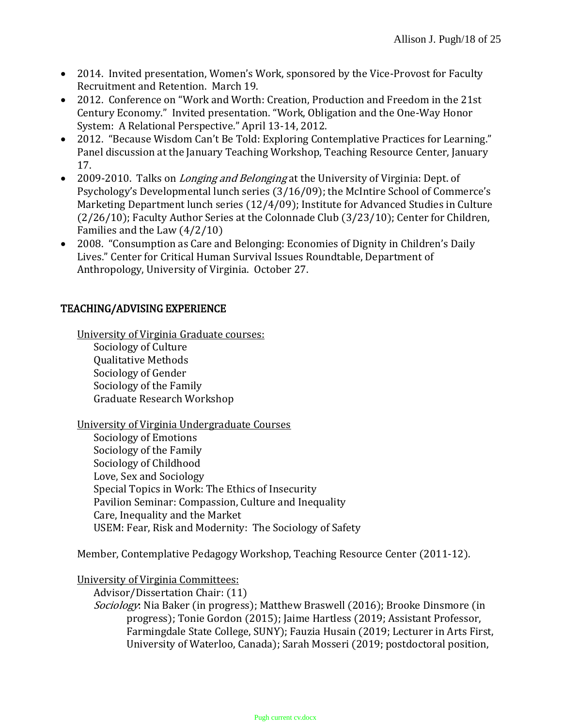- 2014. Invited presentation, Women's Work, sponsored by the Vice-Provost for Faculty Recruitment and Retention. March 19.
- 2012. Conference on "Work and Worth: Creation, Production and Freedom in the 21st Century Economy." Invited presentation. "Work, Obligation and the One-Way Honor System: A Relational Perspective." April 13-14, 2012.
- 2012. "Because Wisdom Can't Be Told: Exploring Contemplative Practices for Learning." Panel discussion at the January Teaching Workshop, Teaching Resource Center, January 17.
- 2009-2010. Talks on *Longing and Belonging* at the University of Virginia: Dept. of Psychology's Developmental lunch series (3/16/09); the McIntire School of Commerce's Marketing Department lunch series (12/4/09); Institute for Advanced Studies in Culture (2/26/10); Faculty Author Series at the Colonnade Club (3/23/10); Center for Children, Families and the Law (4/2/10)
- 2008. "Consumption as Care and Belonging: Economies of Dignity in Children's Daily Lives." Center for Critical Human Survival Issues Roundtable, Department of Anthropology, University of Virginia. October 27.

## TEACHING/ADVISING EXPERIENCE

University of Virginia Graduate courses: Sociology of Culture Qualitative Methods Sociology of Gender Sociology of the Family Graduate Research Workshop

University of Virginia Undergraduate Courses Sociology of Emotions Sociology of the Family Sociology of Childhood Love, Sex and Sociology Special Topics in Work: The Ethics of Insecurity Pavilion Seminar: Compassion, Culture and Inequality Care, Inequality and the Market USEM: Fear, Risk and Modernity: The Sociology of Safety

Member, Contemplative Pedagogy Workshop, Teaching Resource Center (2011-12).

University of Virginia Committees:

Advisor/Dissertation Chair: (11) Sociology: Nia Baker (in progress); Matthew Braswell (2016); Brooke Dinsmore (in progress); Tonie Gordon (2015); Jaime Hartless (2019; Assistant Professor, Farmingdale State College, SUNY); Fauzia Husain (2019; Lecturer in Arts First, University of Waterloo, Canada); Sarah Mosseri (2019; postdoctoral position,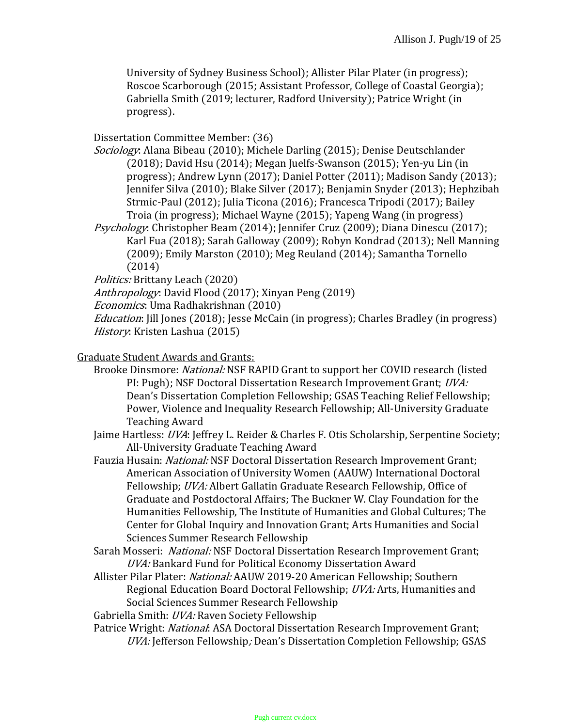University of Sydney Business School); Allister Pilar Plater (in progress); Roscoe Scarborough (2015; Assistant Professor, College of Coastal Georgia); Gabriella Smith (2019; lecturer, Radford University); Patrice Wright (in progress).

Dissertation Committee Member: (36)

Sociology: Alana Bibeau (2010); Michele Darling (2015); Denise Deutschlander (2018); David Hsu (2014); Megan Juelfs-Swanson (2015); Yen-yu Lin (in progress); Andrew Lynn (2017); Daniel Potter (2011); Madison Sandy (2013); Jennifer Silva (2010); Blake Silver (2017); Benjamin Snyder (2013); Hephzibah Strmic-Paul (2012); Julia Ticona (2016); Francesca Tripodi (2017); Bailey Troia (in progress); Michael Wayne (2015); Yapeng Wang (in progress)

Psychology: Christopher Beam (2014); Jennifer Cruz (2009); Diana Dinescu (2017); Karl Fua (2018); Sarah Galloway (2009); Robyn Kondrad (2013); Nell Manning (2009); Emily Marston (2010); Meg Reuland (2014); Samantha Tornello (2014)

Politics: Brittany Leach (2020)

Anthropology: David Flood (2017); Xinyan Peng (2019)

Economics: Uma Radhakrishnan (2010)

Education: Jill Jones (2018); Jesse McCain (in progress); Charles Bradley (in progress) History: Kristen Lashua (2015)

### Graduate Student Awards and Grants:

- Brooke Dinsmore: National: NSF RAPID Grant to support her COVID research (listed PI: Pugh); NSF Doctoral Dissertation Research Improvement Grant; UVA: Dean's Dissertation Completion Fellowship; GSAS Teaching Relief Fellowship; Power, Violence and Inequality Research Fellowship; All-University Graduate Teaching Award
- Jaime Hartless: UVA: Jeffrey L. Reider & Charles F. Otis Scholarship, Serpentine Society; All-University Graduate Teaching Award

Fauzia Husain: National: NSF Doctoral Dissertation Research Improvement Grant; American Association of University Women (AAUW) International Doctoral Fellowship; UVA: Albert Gallatin Graduate Research Fellowship, Office of Graduate and Postdoctoral Affairs; The Buckner W. Clay Foundation for the Humanities Fellowship, The Institute of Humanities and Global Cultures; The Center for Global Inquiry and Innovation Grant; Arts Humanities and Social Sciences Summer Research Fellowship

- Sarah Mosseri: National: NSF Doctoral Dissertation Research Improvement Grant; UVA: Bankard Fund for Political Economy Dissertation Award
- Allister Pilar Plater: *National:* AAUW 2019-20 American Fellowship: Southern Regional Education Board Doctoral Fellowship; UVA: Arts, Humanities and Social Sciences Summer Research Fellowship
- Gabriella Smith: UVA: Raven Society Fellowship
- Patrice Wright: National: ASA Doctoral Dissertation Research Improvement Grant; UVA: Jefferson Fellowship; Dean's Dissertation Completion Fellowship; GSAS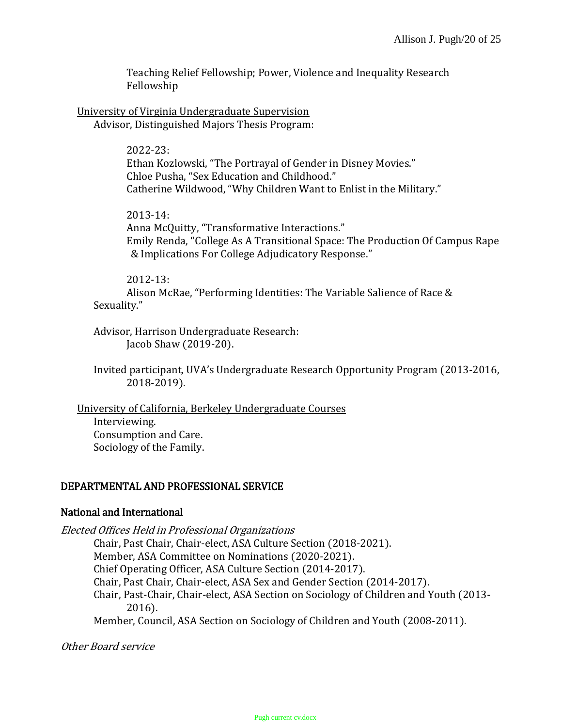Teaching Relief Fellowship; Power, Violence and Inequality Research Fellowship

University of Virginia Undergraduate Supervision Advisor, Distinguished Majors Thesis Program:

> 2022-23: Ethan Kozlowski, "The Portrayal of Gender in Disney Movies." Chloe Pusha, "Sex Education and Childhood." Catherine Wildwood, "Why Children Want to Enlist in the Military."

2013-14: Anna McQuitty, "Transformative Interactions." Emily Renda, "College As A Transitional Space: The Production Of Campus Rape & Implications For College Adjudicatory Response."

2012-13:

Alison McRae, "Performing Identities: The Variable Salience of Race & Sexuality."

Advisor, Harrison Undergraduate Research: Jacob Shaw (2019-20).

Invited participant, UVA's Undergraduate Research Opportunity Program (2013-2016, 2018-2019).

University of California, Berkeley Undergraduate Courses Interviewing. Consumption and Care. Sociology of the Family.

## DEPARTMENTAL AND PROFESSIONAL SERVICE

### National and International

Elected Offices Held in Professional Organizations

Chair, Past Chair, Chair-elect, ASA Culture Section (2018-2021). Member, ASA Committee on Nominations (2020-2021). Chief Operating Officer, ASA Culture Section (2014-2017). Chair, Past Chair, Chair-elect, ASA Sex and Gender Section (2014-2017).

Chair, Past-Chair, Chair-elect, ASA Section on Sociology of Children and Youth (2013- 2016).

Member, Council, ASA Section on Sociology of Children and Youth (2008-2011).

Other Board service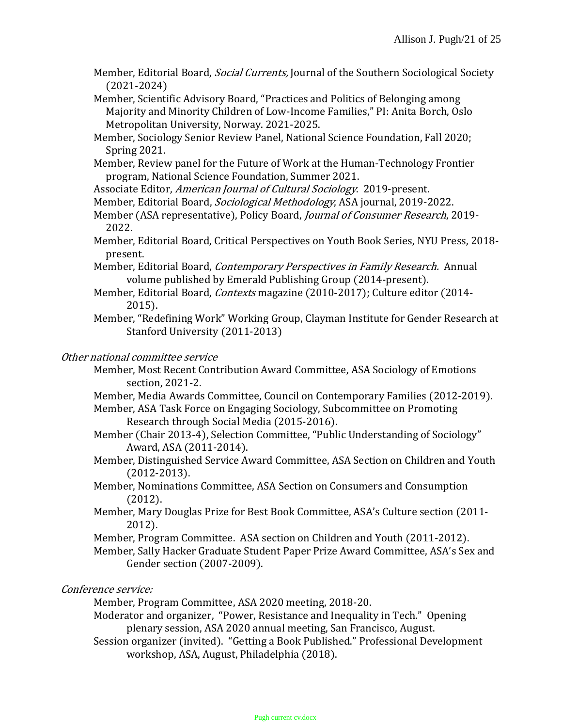Member, Editorial Board, *Social Currents*, Journal of the Southern Sociological Society (2021-2024)

Member, Scientific Advisory Board, "Practices and Politics of Belonging among Majority and Minority Children of Low-Income Families," PI: Anita Borch, Oslo Metropolitan University, Norway. 2021-2025.

Member, Sociology Senior Review Panel, National Science Foundation, Fall 2020; Spring 2021.

Member, Review panel for the Future of Work at the Human-Technology Frontier program, National Science Foundation, Summer 2021.

Associate Editor, American Journal of Cultural Sociology. 2019-present.

Member, Editorial Board, Sociological Methodology, ASA journal, 2019-2022.

- Member (ASA representative), Policy Board, Journal of Consumer Research, 2019- 2022.
- Member, Editorial Board, Critical Perspectives on Youth Book Series, NYU Press, 2018 present.

Member, Editorial Board, Contemporary Perspectives in Family Research. Annual volume published by Emerald Publishing Group (2014-present).

- Member, Editorial Board, Contexts magazine (2010-2017); Culture editor (2014-2015).
- Member, "Redefining Work" Working Group, Clayman Institute for Gender Research at Stanford University (2011-2013)

### Other national committee service

Member, Most Recent Contribution Award Committee, ASA Sociology of Emotions section, 2021-2.

Member, Media Awards Committee, Council on Contemporary Families (2012-2019).

- Member, ASA Task Force on Engaging Sociology, Subcommittee on Promoting Research through Social Media (2015-2016).
- Member (Chair 2013-4), Selection Committee, "Public Understanding of Sociology" Award, ASA (2011-2014).
- Member, Distinguished Service Award Committee, ASA Section on Children and Youth (2012-2013).
- Member, Nominations Committee, ASA Section on Consumers and Consumption (2012).
- Member, Mary Douglas Prize for Best Book Committee, ASA's Culture section (2011- 2012).
- Member, Program Committee. ASA section on Children and Youth (2011-2012).
- Member, Sally Hacker Graduate Student Paper Prize Award Committee, ASA's Sex and Gender section (2007-2009).

Conference service:

Member, Program Committee, ASA 2020 meeting, 2018-20.

Moderator and organizer, "Power, Resistance and Inequality in Tech." Opening plenary session, ASA 2020 annual meeting, San Francisco, August.

Session organizer (invited). "Getting a Book Published." Professional Development workshop, ASA, August, Philadelphia (2018).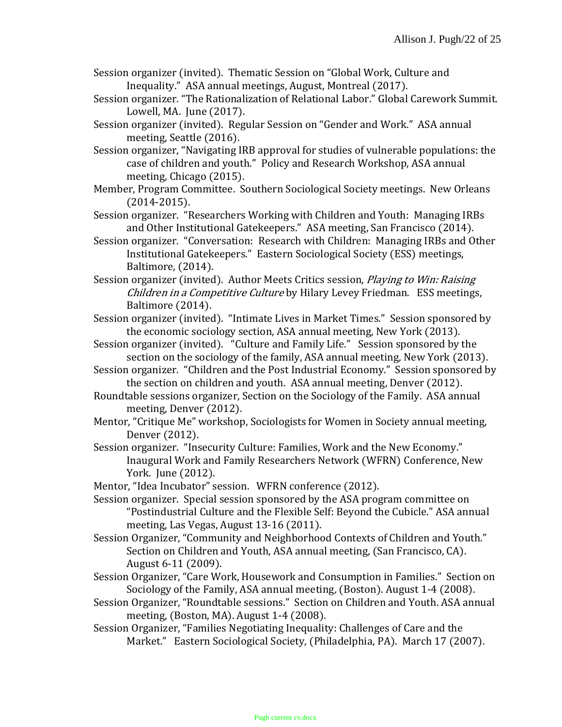- Session organizer (invited). Thematic Session on "Global Work, Culture and Inequality." ASA annual meetings, August, Montreal (2017).
- Session organizer. "The Rationalization of Relational Labor." Global Carework Summit. Lowell, MA. June (2017).
- Session organizer (invited). Regular Session on "Gender and Work." ASA annual meeting, Seattle (2016).
- Session organizer, "Navigating IRB approval for studies of vulnerable populations: the case of children and youth." Policy and Research Workshop, ASA annual meeting, Chicago (2015).
- Member, Program Committee. Southern Sociological Society meetings. New Orleans (2014-2015).
- Session organizer. "Researchers Working with Children and Youth: Managing IRBs and Other Institutional Gatekeepers." ASA meeting, San Francisco (2014).
- Session organizer. "Conversation: Research with Children: Managing IRBs and Other Institutional Gatekeepers." Eastern Sociological Society (ESS) meetings, Baltimore, (2014).
- Session organizer (invited). Author Meets Critics session, *Playing to Win: Raising* Children in a Competitive Culture by Hilary Levey Friedman. ESS meetings, Baltimore (2014).
- Session organizer (invited). "Intimate Lives in Market Times." Session sponsored by the economic sociology section, ASA annual meeting, New York (2013).
- Session organizer (invited). "Culture and Family Life." Session sponsored by the section on the sociology of the family, ASA annual meeting, New York (2013).
- Session organizer. "Children and the Post Industrial Economy." Session sponsored by the section on children and youth. ASA annual meeting, Denver (2012).
- Roundtable sessions organizer, Section on the Sociology of the Family. ASA annual meeting, Denver (2012).
- Mentor, "Critique Me" workshop, Sociologists for Women in Society annual meeting, Denver (2012).
- Session organizer. "Insecurity Culture: Families, Work and the New Economy." Inaugural Work and Family Researchers Network (WFRN) Conference, New York. June (2012).
- Mentor, "Idea Incubator" session. WFRN conference (2012).
- Session organizer. Special session sponsored by the ASA program committee on "Postindustrial Culture and the Flexible Self: Beyond the Cubicle." ASA annual meeting, Las Vegas, August 13-16 (2011).
- Session Organizer, "Community and Neighborhood Contexts of Children and Youth." Section on Children and Youth, ASA annual meeting, (San Francisco, CA). August 6-11 (2009).
- Session Organizer, "Care Work, Housework and Consumption in Families." Section on Sociology of the Family, ASA annual meeting, (Boston). August 1-4 (2008).
- Session Organizer, "Roundtable sessions." Section on Children and Youth. ASA annual meeting, (Boston, MA). August 1-4 (2008).
- Session Organizer, "Families Negotiating Inequality: Challenges of Care and the Market." Eastern Sociological Society, (Philadelphia, PA). March 17 (2007).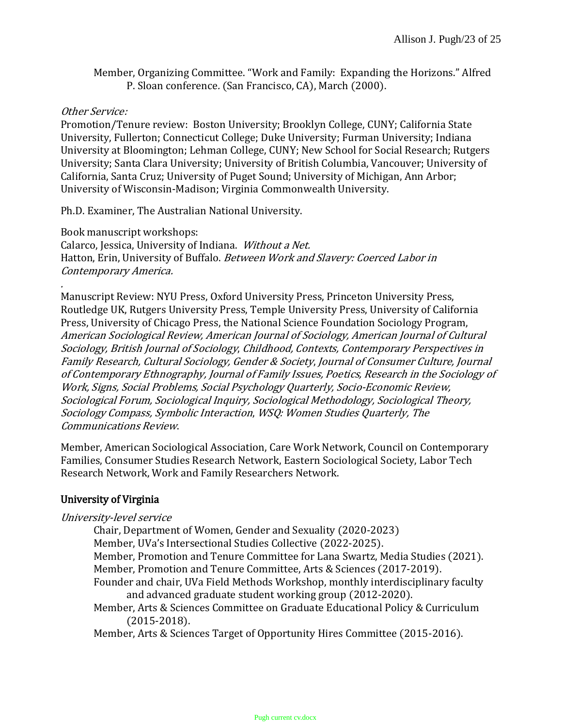Member, Organizing Committee. "Work and Family: Expanding the Horizons." Alfred P. Sloan conference. (San Francisco, CA), March (2000).

### Other Service:

Promotion/Tenure review: Boston University; Brooklyn College, CUNY; California State University, Fullerton; Connecticut College; Duke University; Furman University; Indiana University at Bloomington; Lehman College, CUNY; New School for Social Research; Rutgers University; Santa Clara University; University of British Columbia, Vancouver; University of California, Santa Cruz; University of Puget Sound; University of Michigan, Ann Arbor; University of Wisconsin-Madison; Virginia Commonwealth University.

Ph.D. Examiner, The Australian National University.

Book manuscript workshops: Calarco, Jessica, University of Indiana. Without a Net. Hatton, Erin, University of Buffalo. Between Work and Slavery: Coerced Labor in Contemporary America.

Manuscript Review: NYU Press, Oxford University Press, Princeton University Press, Routledge UK, Rutgers University Press, Temple University Press, University of California Press, University of Chicago Press, the National Science Foundation Sociology Program, American Sociological Review, American Journal of Sociology, American Journal of Cultural Sociology, British Journal of Sociology, Childhood, Contexts, Contemporary Perspectives in Family Research, Cultural Sociology, Gender & Society, Journal of Consumer Culture, Journal of Contemporary Ethnography, Journal of Family Issues, Poetics, Research in the Sociology of Work, Signs, Social Problems, Social Psychology Quarterly, Socio-Economic Review, Sociological Forum, Sociological Inquiry, Sociological Methodology, Sociological Theory, Sociology Compass, Symbolic Interaction, WSQ: Women Studies Quarterly, The Communications Review.

Member, American Sociological Association, Care Work Network, Council on Contemporary Families, Consumer Studies Research Network, Eastern Sociological Society, Labor Tech Research Network, Work and Family Researchers Network.

### University of Virginia

### University-level service

Chair, Department of Women, Gender and Sexuality (2020-2023)

Member, UVa's Intersectional Studies Collective (2022-2025).

- Member, Promotion and Tenure Committee for Lana Swartz, Media Studies (2021).
- Member, Promotion and Tenure Committee, Arts & Sciences (2017-2019).
- Founder and chair, UVa Field Methods Workshop, monthly interdisciplinary faculty and advanced graduate student working group (2012-2020).
- Member, Arts & Sciences Committee on Graduate Educational Policy & Curriculum (2015-2018).

Member, Arts & Sciences Target of Opportunity Hires Committee (2015-2016).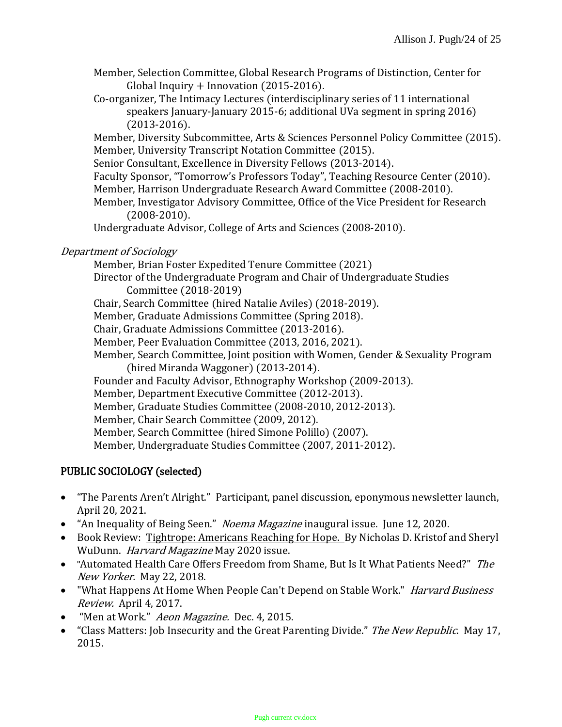- Member, Selection Committee, Global Research Programs of Distinction, Center for Global Inquiry + Innovation (2015-2016).
- Co-organizer, The Intimacy Lectures (interdisciplinary series of 11 international speakers January-January 2015-6; additional UVa segment in spring 2016) (2013-2016).

Member, Diversity Subcommittee, Arts & Sciences Personnel Policy Committee (2015). Member, University Transcript Notation Committee (2015).

Senior Consultant, Excellence in Diversity Fellows (2013-2014).

Faculty Sponsor, "Tomorrow's Professors Today", Teaching Resource Center (2010).

Member, Harrison Undergraduate Research Award Committee (2008-2010).

Member, Investigator Advisory Committee, Office of the Vice President for Research (2008-2010).

Undergraduate Advisor, College of Arts and Sciences (2008-2010).

## Department of Sociology

Member, Brian Foster Expedited Tenure Committee (2021) Director of the Undergraduate Program and Chair of Undergraduate Studies Committee (2018-2019) Chair, Search Committee (hired Natalie Aviles) (2018-2019). Member, Graduate Admissions Committee (Spring 2018). Chair, Graduate Admissions Committee (2013-2016). Member, Peer Evaluation Committee (2013, 2016, 2021).

Member, Search Committee, Joint position with Women, Gender & Sexuality Program (hired Miranda Waggoner) (2013-2014).

Founder and Faculty Advisor, Ethnography Workshop (2009-2013).

Member, Department Executive Committee (2012-2013).

Member, Graduate Studies Committee (2008-2010, 2012-2013).

Member, Chair Search Committee (2009, 2012).

Member, Search Committee (hired Simone Polillo) (2007).

Member, Undergraduate Studies Committee (2007, 2011-2012).

# PUBLIC SOCIOLOGY (selected)

- "The Parents Aren't Alright." Participant, panel discussion, eponymous newsletter launch, April 20, 2021.
- "An Inequality of Being Seen." Noema Magazine inaugural issue. June 12, 2020.
- Book Review: Tightrope: Americans Reaching for Hope. By Nicholas D. Kristof and Sheryl WuDunn. Harvard Magazine May 2020 issue.
- "Automated Health Care Offers Freedom from Shame, But Is It What Patients Need?" The New Yorker. May 22, 2018.
- "What Happens At Home When People Can't Depend on Stable Work." *Harvard Business* Review. April 4, 2017.
- "Men at Work." Aeon Magazine. Dec. 4, 2015.
- "Class Matters: Job Insecurity and the Great Parenting Divide." The New Republic. May 17, 2015.